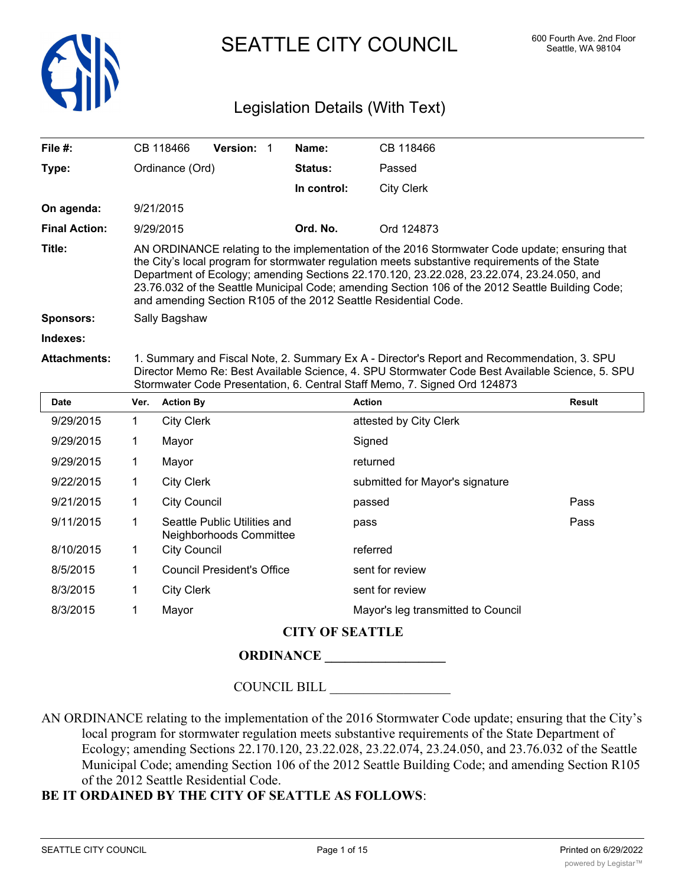

SEATTLE CITY COUNCIL 600 Fourth Ave. 2nd Floor

# Legislation Details (With Text)

| File #:              |      | CB 118466           | Version: 1                        | Name:       | CB 118466                                                                                                                                                                                                                                                                                                                                                                                                                                                           |               |
|----------------------|------|---------------------|-----------------------------------|-------------|---------------------------------------------------------------------------------------------------------------------------------------------------------------------------------------------------------------------------------------------------------------------------------------------------------------------------------------------------------------------------------------------------------------------------------------------------------------------|---------------|
| Type:                |      | Ordinance (Ord)     |                                   | Status:     | Passed                                                                                                                                                                                                                                                                                                                                                                                                                                                              |               |
|                      |      |                     |                                   | In control: | <b>City Clerk</b>                                                                                                                                                                                                                                                                                                                                                                                                                                                   |               |
| On agenda:           |      | 9/21/2015           |                                   |             |                                                                                                                                                                                                                                                                                                                                                                                                                                                                     |               |
| <b>Final Action:</b> |      | 9/29/2015           |                                   | Ord. No.    | Ord 124873                                                                                                                                                                                                                                                                                                                                                                                                                                                          |               |
| Title:               |      |                     |                                   |             | AN ORDINANCE relating to the implementation of the 2016 Stormwater Code update; ensuring that<br>the City's local program for stormwater regulation meets substantive requirements of the State<br>Department of Ecology; amending Sections 22.170.120, 23.22.028, 23.22.074, 23.24.050, and<br>23.76.032 of the Seattle Municipal Code; amending Section 106 of the 2012 Seattle Building Code;<br>and amending Section R105 of the 2012 Seattle Residential Code. |               |
| Sponsors:            |      | Sally Bagshaw       |                                   |             |                                                                                                                                                                                                                                                                                                                                                                                                                                                                     |               |
| Indexes:             |      |                     |                                   |             |                                                                                                                                                                                                                                                                                                                                                                                                                                                                     |               |
| <b>Attachments:</b>  |      |                     |                                   |             | 1. Summary and Fiscal Note, 2. Summary Ex A - Director's Report and Recommendation, 3. SPU<br>Director Memo Re: Best Available Science, 4. SPU Stormwater Code Best Available Science, 5. SPU<br>Stormwater Code Presentation, 6. Central Staff Memo, 7. Signed Ord 124873                                                                                                                                                                                          |               |
|                      |      |                     |                                   |             |                                                                                                                                                                                                                                                                                                                                                                                                                                                                     |               |
| <b>Date</b>          | Ver. | <b>Action By</b>    |                                   |             | <b>Action</b>                                                                                                                                                                                                                                                                                                                                                                                                                                                       | <b>Result</b> |
| 9/29/2015            | 1    | <b>City Clerk</b>   |                                   |             | attested by City Clerk                                                                                                                                                                                                                                                                                                                                                                                                                                              |               |
| 9/29/2015            | 1    | Mayor               |                                   |             | Signed                                                                                                                                                                                                                                                                                                                                                                                                                                                              |               |
| 9/29/2015            | 1    | Mayor               |                                   |             | returned                                                                                                                                                                                                                                                                                                                                                                                                                                                            |               |
| 9/22/2015            | 1    | <b>City Clerk</b>   |                                   |             | submitted for Mayor's signature                                                                                                                                                                                                                                                                                                                                                                                                                                     |               |
| 9/21/2015            | 1    | <b>City Council</b> |                                   |             | passed                                                                                                                                                                                                                                                                                                                                                                                                                                                              | Pass          |
| 9/11/2015            | 1    |                     | Seattle Public Utilities and      |             | pass                                                                                                                                                                                                                                                                                                                                                                                                                                                                | Pass          |
| 8/10/2015            | 1    | <b>City Council</b> | Neighborhoods Committee           |             | referred                                                                                                                                                                                                                                                                                                                                                                                                                                                            |               |
| 8/5/2015             | 1    |                     | <b>Council President's Office</b> |             | sent for review                                                                                                                                                                                                                                                                                                                                                                                                                                                     |               |
| 8/3/2015             | 1    | <b>City Clerk</b>   |                                   |             | sent for review                                                                                                                                                                                                                                                                                                                                                                                                                                                     |               |
| 8/3/2015             | 1    | Mayor               |                                   |             | Mayor's leg transmitted to Council                                                                                                                                                                                                                                                                                                                                                                                                                                  |               |

# **ORDINANCE \_\_\_\_\_\_\_\_\_\_\_\_\_\_\_\_\_\_**

COUNCIL BILL \_\_\_\_\_\_\_\_\_\_\_\_\_\_\_\_\_\_

AN ORDINANCE relating to the implementation of the 2016 Stormwater Code update; ensuring that the City's local program for stormwater regulation meets substantive requirements of the State Department of Ecology; amending Sections 22.170.120, 23.22.028, 23.22.074, 23.24.050, and 23.76.032 of the Seattle Municipal Code; amending Section 106 of the 2012 Seattle Building Code; and amending Section R105 of the 2012 Seattle Residential Code.

# **BE IT ORDAINED BY THE CITY OF SEATTLE AS FOLLOWS**: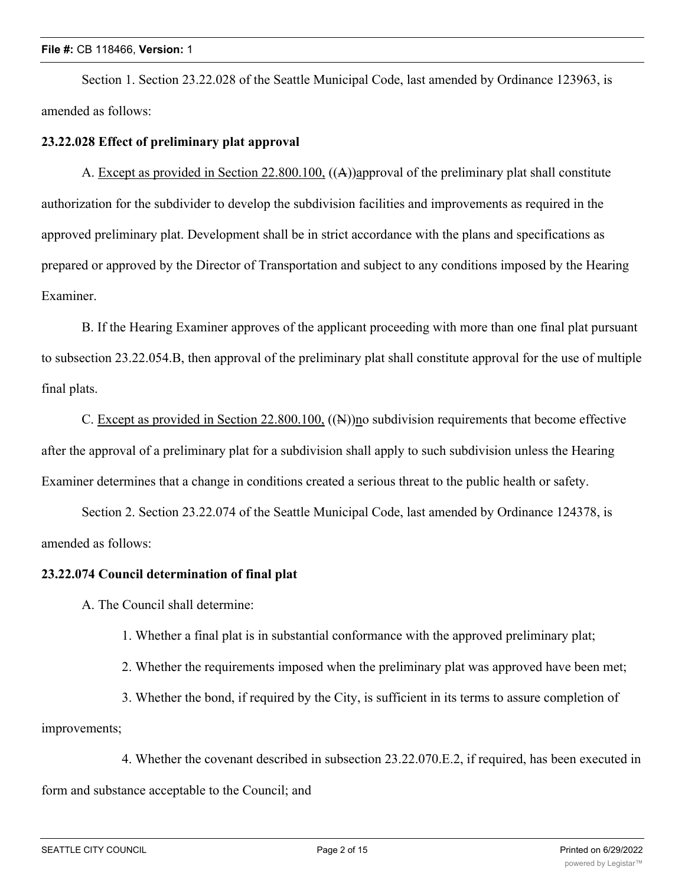#### **File #:** CB 118466, **Version:** 1

Section 1. Section 23.22.028 of the Seattle Municipal Code, last amended by Ordinance 123963, is amended as follows:

#### **23.22.028 Effect of preliminary plat approval**

A. Except as provided in Section 22.800.100, ((A))approval of the preliminary plat shall constitute authorization for the subdivider to develop the subdivision facilities and improvements as required in the approved preliminary plat. Development shall be in strict accordance with the plans and specifications as prepared or approved by the Director of Transportation and subject to any conditions imposed by the Hearing Examiner.

B. If the Hearing Examiner approves of the applicant proceeding with more than one final plat pursuant to subsection 23.22.054.B, then approval of the preliminary plat shall constitute approval for the use of multiple final plats.

C. Except as provided in Section 22.800.100, ((N))no subdivision requirements that become effective after the approval of a preliminary plat for a subdivision shall apply to such subdivision unless the Hearing Examiner determines that a change in conditions created a serious threat to the public health or safety.

Section 2. Section 23.22.074 of the Seattle Municipal Code, last amended by Ordinance 124378, is amended as follows:

#### **23.22.074 Council determination of final plat**

A. The Council shall determine:

- 1. Whether a final plat is in substantial conformance with the approved preliminary plat;
- 2. Whether the requirements imposed when the preliminary plat was approved have been met;

3. Whether the bond, if required by the City, is sufficient in its terms to assure completion of improvements;

4. Whether the covenant described in subsection 23.22.070.E.2, if required, has been executed in form and substance acceptable to the Council; and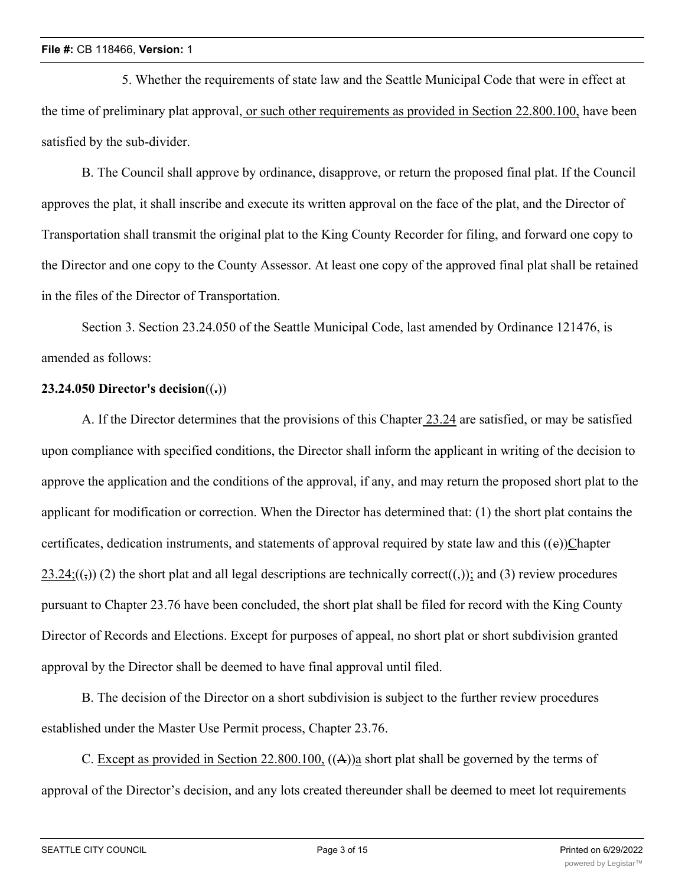5. Whether the requirements of state law and the Seattle Municipal Code that were in effect at the time of preliminary plat approval, or such other requirements as provided in Section 22.800.100, have been satisfied by the sub-divider.

B. The Council shall approve by ordinance, disapprove, or return the proposed final plat. If the Council approves the plat, it shall inscribe and execute its written approval on the face of the plat, and the Director of Transportation shall transmit the original plat to the King County Recorder for filing, and forward one copy to the Director and one copy to the County Assessor. At least one copy of the approved final plat shall be retained in the files of the Director of Transportation.

Section 3. Section 23.24.050 of the Seattle Municipal Code, last amended by Ordinance 121476, is amended as follows:

## **23.24.050 Director's decision**((**.**))

A. If the Director determines that the provisions of this Chapter 23.24 are satisfied, or may be satisfied upon compliance with specified conditions, the Director shall inform the applicant in writing of the decision to approve the application and the conditions of the approval, if any, and may return the proposed short plat to the applicant for modification or correction. When the Director has determined that: (1) the short plat contains the certificates, dedication instruments, and statements of approval required by state law and this  $((e))$ Chapter  $23.24$ ;(( $\epsilon$ )) (2) the short plat and all legal descriptions are technically correct((,)); and (3) review procedures pursuant to Chapter 23.76 have been concluded, the short plat shall be filed for record with the King County Director of Records and Elections. Except for purposes of appeal, no short plat or short subdivision granted approval by the Director shall be deemed to have final approval until filed.

B. The decision of the Director on a short subdivision is subject to the further review procedures established under the Master Use Permit process, Chapter 23.76.

C. Except as provided in Section 22.800.100, ((A))a short plat shall be governed by the terms of approval of the Director's decision, and any lots created thereunder shall be deemed to meet lot requirements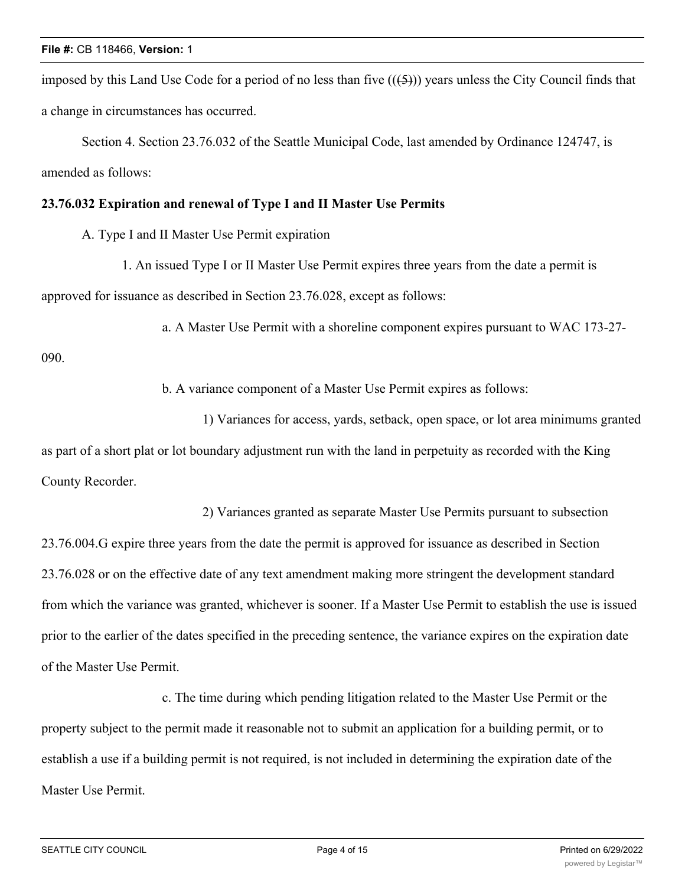imposed by this Land Use Code for a period of no less than five  $((\text{5}))$  years unless the City Council finds that a change in circumstances has occurred.

Section 4. Section 23.76.032 of the Seattle Municipal Code, last amended by Ordinance 124747, is amended as follows:

### **23.76.032 Expiration and renewal of Type I and II Master Use Permits**

- A. Type I and II Master Use Permit expiration
	- 1. An issued Type I or II Master Use Permit expires three years from the date a permit is

approved for issuance as described in Section 23.76.028, except as follows:

a. A Master Use Permit with a shoreline component expires pursuant to WAC 173-27-

090.

b. A variance component of a Master Use Permit expires as follows:

1) Variances for access, yards, setback, open space, or lot area minimums granted as part of a short plat or lot boundary adjustment run with the land in perpetuity as recorded with the King County Recorder.

2) Variances granted as separate Master Use Permits pursuant to subsection 23.76.004.G expire three years from the date the permit is approved for issuance as described in Section 23.76.028 or on the effective date of any text amendment making more stringent the development standard from which the variance was granted, whichever is sooner. If a Master Use Permit to establish the use is issued prior to the earlier of the dates specified in the preceding sentence, the variance expires on the expiration date of the Master Use Permit.

c. The time during which pending litigation related to the Master Use Permit or the property subject to the permit made it reasonable not to submit an application for a building permit, or to establish a use if a building permit is not required, is not included in determining the expiration date of the Master Use Permit.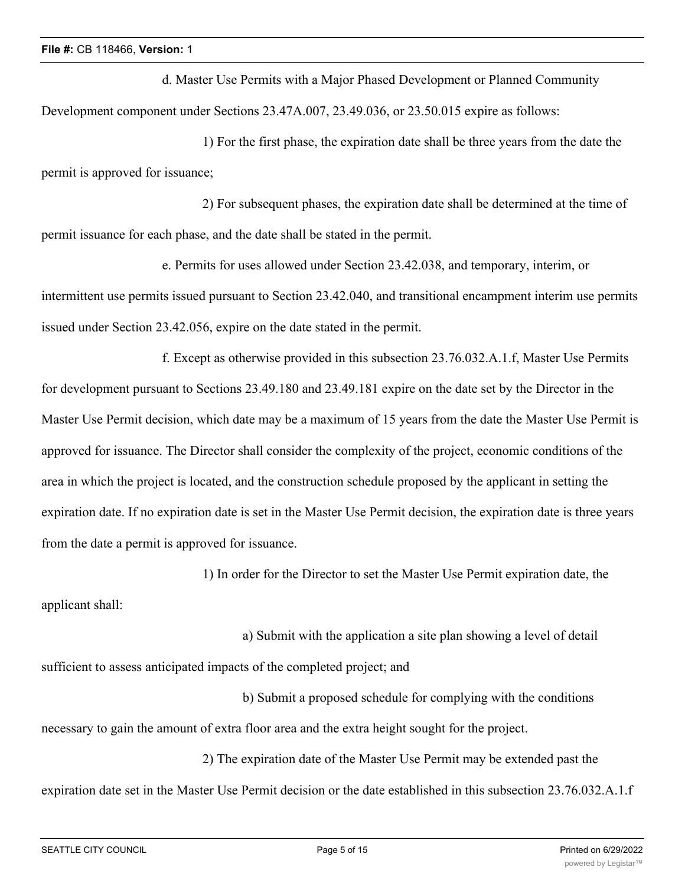d. Master Use Permits with a Major Phased Development or Planned Community Development component under Sections 23.47A.007, 23.49.036, or 23.50.015 expire as follows:

1) For the first phase, the expiration date shall be three years from the date the permit is approved for issuance;

2) For subsequent phases, the expiration date shall be determined at the time of permit issuance for each phase, and the date shall be stated in the permit.

e. Permits for uses allowed under Section 23.42.038, and temporary, interim, or intermittent use permits issued pursuant to Section 23.42.040, and transitional encampment interim use permits issued under Section 23.42.056, expire on the date stated in the permit.

f. Except as otherwise provided in this subsection 23.76.032.A.1.f, Master Use Permits for development pursuant to Sections 23.49.180 and 23.49.181 expire on the date set by the Director in the Master Use Permit decision, which date may be a maximum of 15 years from the date the Master Use Permit is approved for issuance. The Director shall consider the complexity of the project, economic conditions of the area in which the project is located, and the construction schedule proposed by the applicant in setting the expiration date. If no expiration date is set in the Master Use Permit decision, the expiration date is three years from the date a permit is approved for issuance.

1) In order for the Director to set the Master Use Permit expiration date, the

applicant shall:

a) Submit with the application a site plan showing a level of detail

sufficient to assess anticipated impacts of the completed project; and

b) Submit a proposed schedule for complying with the conditions necessary to gain the amount of extra floor area and the extra height sought for the project.

2) The expiration date of the Master Use Permit may be extended past the expiration date set in the Master Use Permit decision or the date established in this subsection 23.76.032.A.1.f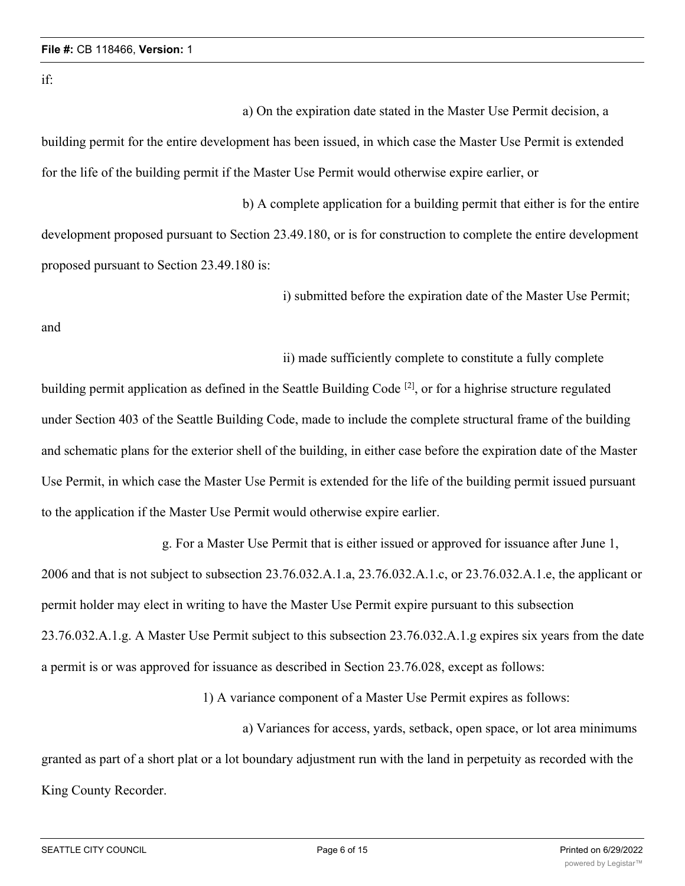if:

a) On the expiration date stated in the Master Use Permit decision, a

building permit for the entire development has been issued, in which case the Master Use Permit is extended for the life of the building permit if the Master Use Permit would otherwise expire earlier, or

b) A complete application for a building permit that either is for the entire development proposed pursuant to Section 23.49.180, or is for construction to complete the entire development proposed pursuant to Section 23.49.180 is:

i) submitted before the expiration date of the Master Use Permit;

and

ii) made sufficiently complete to constitute a fully complete

building permit application as defined in the Seattle Building Code <sup>[2]</sup>, or for a highrise structure regulated under Section 403 of the Seattle Building Code, made to include the complete structural frame of the building and schematic plans for the exterior shell of the building, in either case before the expiration date of the Master Use Permit, in which case the Master Use Permit is extended for the life of the building permit issued pursuant to the application if the Master Use Permit would otherwise expire earlier.

g. For a Master Use Permit that is either issued or approved for issuance after June 1, 2006 and that is not subject to subsection 23.76.032.A.1.a, 23.76.032.A.1.c, or 23.76.032.A.1.e, the applicant or permit holder may elect in writing to have the Master Use Permit expire pursuant to this subsection 23.76.032.A.1.g. A Master Use Permit subject to this subsection 23.76.032.A.1.g expires six years from the date a permit is or was approved for issuance as described in Section 23.76.028, except as follows:

1) A variance component of a Master Use Permit expires as follows:

a) Variances for access, yards, setback, open space, or lot area minimums granted as part of a short plat or a lot boundary adjustment run with the land in perpetuity as recorded with the King County Recorder.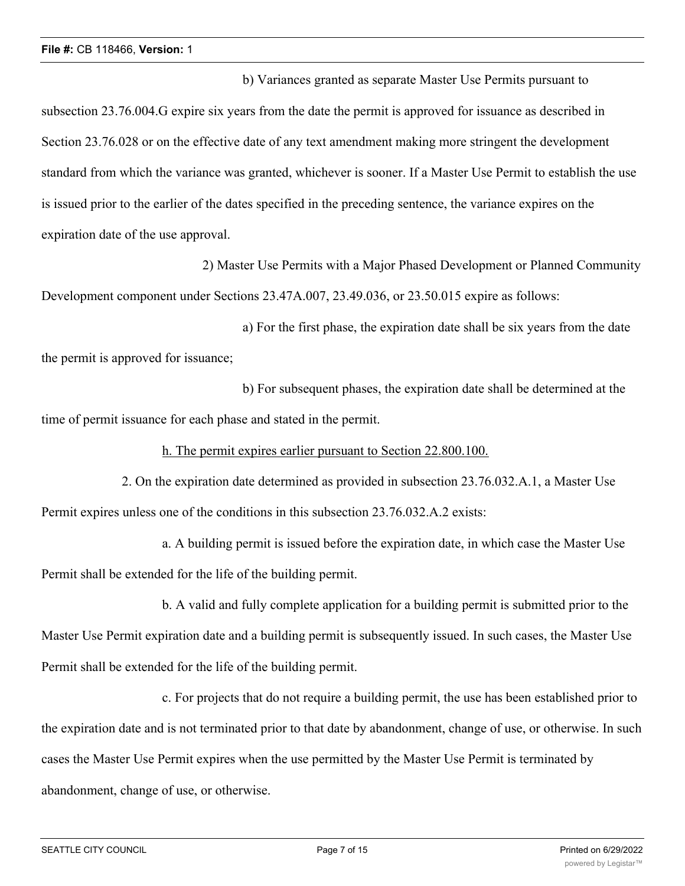b) Variances granted as separate Master Use Permits pursuant to subsection 23.76.004.G expire six years from the date the permit is approved for issuance as described in Section 23.76.028 or on the effective date of any text amendment making more stringent the development standard from which the variance was granted, whichever is sooner. If a Master Use Permit to establish the use is issued prior to the earlier of the dates specified in the preceding sentence, the variance expires on the expiration date of the use approval.

2) Master Use Permits with a Major Phased Development or Planned Community Development component under Sections 23.47A.007, 23.49.036, or 23.50.015 expire as follows:

a) For the first phase, the expiration date shall be six years from the date the permit is approved for issuance;

b) For subsequent phases, the expiration date shall be determined at the time of permit issuance for each phase and stated in the permit.

h. The permit expires earlier pursuant to Section 22.800.100.

2. On the expiration date determined as provided in subsection 23.76.032.A.1, a Master Use Permit expires unless one of the conditions in this subsection 23.76.032.A.2 exists:

a. A building permit is issued before the expiration date, in which case the Master Use Permit shall be extended for the life of the building permit.

b. A valid and fully complete application for a building permit is submitted prior to the

Master Use Permit expiration date and a building permit is subsequently issued. In such cases, the Master Use Permit shall be extended for the life of the building permit.

c. For projects that do not require a building permit, the use has been established prior to the expiration date and is not terminated prior to that date by abandonment, change of use, or otherwise. In such cases the Master Use Permit expires when the use permitted by the Master Use Permit is terminated by abandonment, change of use, or otherwise.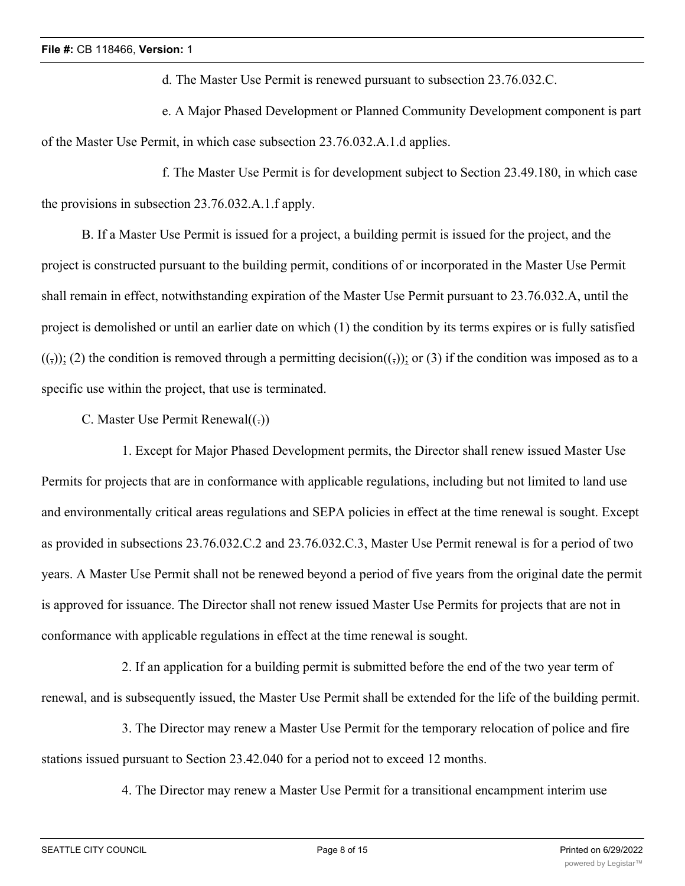d. The Master Use Permit is renewed pursuant to subsection 23.76.032.C.

e. A Major Phased Development or Planned Community Development component is part of the Master Use Permit, in which case subsection 23.76.032.A.1.d applies.

f. The Master Use Permit is for development subject to Section 23.49.180, in which case the provisions in subsection 23.76.032.A.1.f apply.

B. If a Master Use Permit is issued for a project, a building permit is issued for the project, and the project is constructed pursuant to the building permit, conditions of or incorporated in the Master Use Permit shall remain in effect, notwithstanding expiration of the Master Use Permit pursuant to 23.76.032.A, until the project is demolished or until an earlier date on which (1) the condition by its terms expires or is fully satisfied  $((\tau))$ ; (2) the condition is removed through a permitting decision( $(\tau)$ ); or (3) if the condition was imposed as to a specific use within the project, that use is terminated.

C. Master Use Permit Renewal $((.)$ 

1. Except for Major Phased Development permits, the Director shall renew issued Master Use Permits for projects that are in conformance with applicable regulations, including but not limited to land use and environmentally critical areas regulations and SEPA policies in effect at the time renewal is sought. Except as provided in subsections 23.76.032.C.2 and 23.76.032.C.3, Master Use Permit renewal is for a period of two years. A Master Use Permit shall not be renewed beyond a period of five years from the original date the permit is approved for issuance. The Director shall not renew issued Master Use Permits for projects that are not in conformance with applicable regulations in effect at the time renewal is sought.

2. If an application for a building permit is submitted before the end of the two year term of renewal, and is subsequently issued, the Master Use Permit shall be extended for the life of the building permit.

3. The Director may renew a Master Use Permit for the temporary relocation of police and fire stations issued pursuant to Section 23.42.040 for a period not to exceed 12 months.

4. The Director may renew a Master Use Permit for a transitional encampment interim use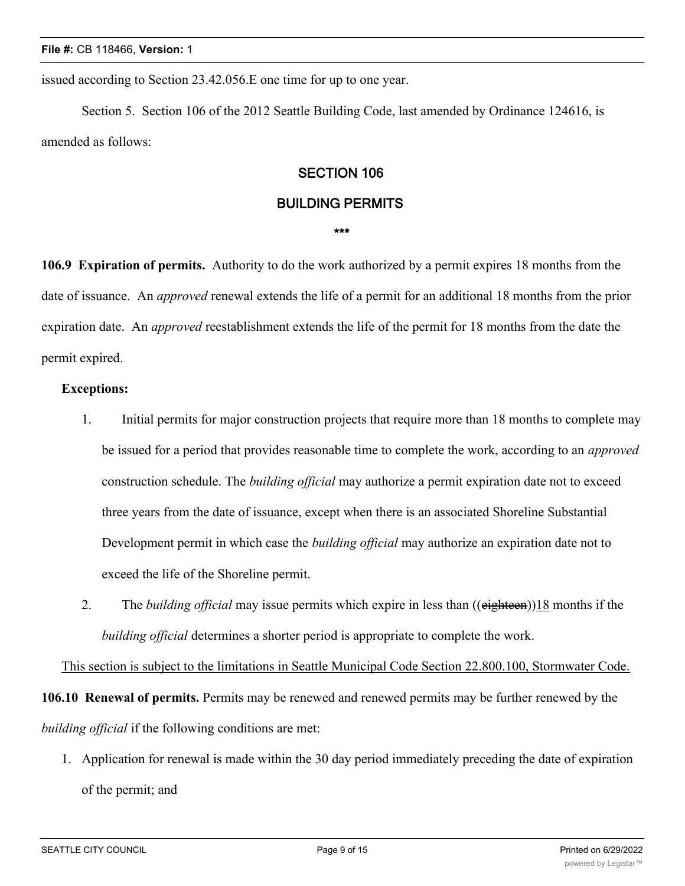issued according to Section 23.42.056.E one time for up to one year.

Section 5. Section 106 of the 2012 Seattle Building Code, last amended by Ordinance 124616, is amended as follows:

## **SECTION 106**

### **BUILDING PERMITS**

#### **\*\*\***

**106.9 Expiration of permits.** Authority to do the work authorized by a permit expires 18 months from the date of issuance. An *approved* renewal extends the life of a permit for an additional 18 months from the prior expiration date. An *approved* reestablishment extends the life of the permit for 18 months from the date the permit expired.

### **Exceptions:**

- 1. Initial permits for major construction projects that require more than 18 months to complete may be issued for a period that provides reasonable time to complete the work, according to an *approved* construction schedule. The *building official* may authorize a permit expiration date not to exceed three years from the date of issuance, except when there is an associated Shoreline Substantial Development permit in which case the *building official* may authorize an expiration date not to exceed the life of the Shoreline permit.
- 2. The *building official* may issue permits which expire in less than ((eighteen))18 months if the *building official* determines a shorter period is appropriate to complete the work.

This section is subject to the limitations in Seattle Municipal Code Section 22.800.100, Stormwater Code.

**106.10 Renewal of permits.** Permits may be renewed and renewed permits may be further renewed by the *building official* if the following conditions are met:

1. Application for renewal is made within the 30 day period immediately preceding the date of expiration of the permit; and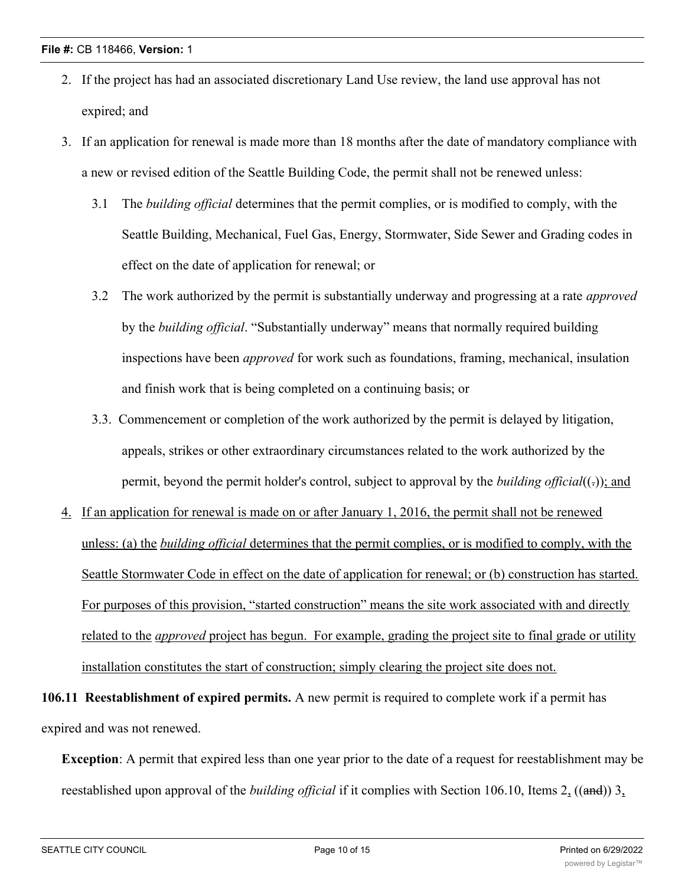- 2. If the project has had an associated discretionary Land Use review, the land use approval has not expired; and
- 3. If an application for renewal is made more than 18 months after the date of mandatory compliance with a new or revised edition of the Seattle Building Code, the permit shall not be renewed unless:
	- 3.1 The *building official* determines that the permit complies, or is modified to comply, with the Seattle Building, Mechanical, Fuel Gas, Energy, Stormwater, Side Sewer and Grading codes in effect on the date of application for renewal; or
	- 3.2 The work authorized by the permit is substantially underway and progressing at a rate *approved* by the *building official*. "Substantially underway" means that normally required building inspections have been *approved* for work such as foundations, framing, mechanical, insulation and finish work that is being completed on a continuing basis; or
	- 3.3. Commencement or completion of the work authorized by the permit is delayed by litigation, appeals, strikes or other extraordinary circumstances related to the work authorized by the permit, beyond the permit holder's control, subject to approval by the *building official*( $\epsilon$ ); and
- 4. If an application for renewal is made on or after January 1, 2016, the permit shall not be renewed unless: (a) the *building official* determines that the permit complies, or is modified to comply, with the Seattle Stormwater Code in effect on the date of application for renewal; or (b) construction has started. For purposes of this provision, "started construction" means the site work associated with and directly related to the *approved* project has begun. For example, grading the project site to final grade or utility installation constitutes the start of construction; simply clearing the project site does not.

**106.11 Reestablishment of expired permits.** A new permit is required to complete work if a permit has expired and was not renewed.

**Exception**: A permit that expired less than one year prior to the date of a request for reestablishment may be reestablished upon approval of the *building official* if it complies with Section 106.10, Items 2, ((and)) 3,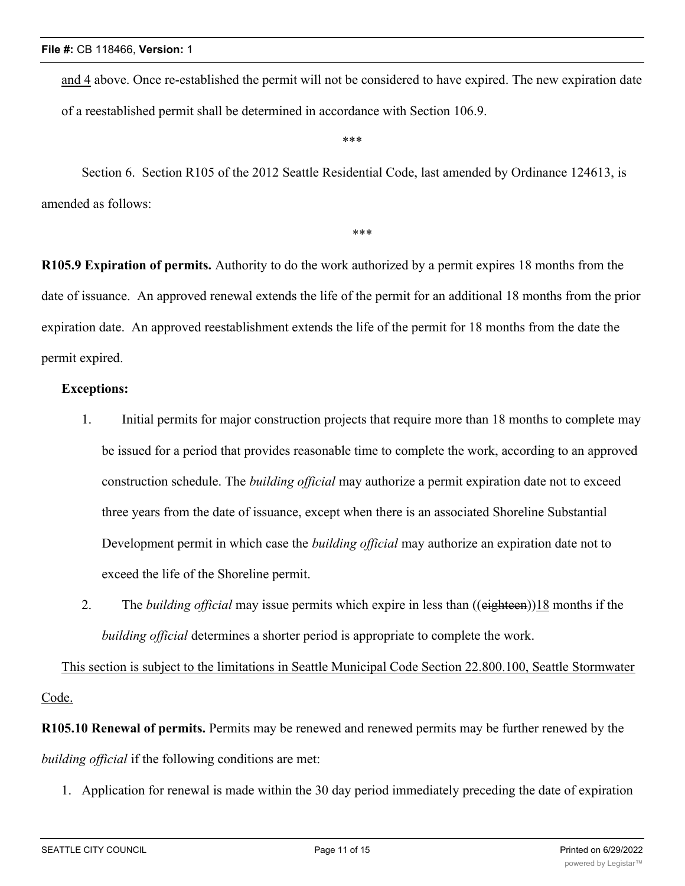and 4 above. Once re-established the permit will not be considered to have expired. The new expiration date of a reestablished permit shall be determined in accordance with Section 106.9.

\*\*\*

\*\*\*

Section 6. Section R105 of the 2012 Seattle Residential Code, last amended by Ordinance 124613, is amended as follows:

**R105.9 Expiration of permits.** Authority to do the work authorized by a permit expires 18 months from the date of issuance. An approved renewal extends the life of the permit for an additional 18 months from the prior expiration date. An approved reestablishment extends the life of the permit for 18 months from the date the permit expired.

### **Exceptions:**

- 1. Initial permits for major construction projects that require more than 18 months to complete may be issued for a period that provides reasonable time to complete the work, according to an approved construction schedule. The *building official* may authorize a permit expiration date not to exceed three years from the date of issuance, except when there is an associated Shoreline Substantial Development permit in which case the *building official* may authorize an expiration date not to exceed the life of the Shoreline permit.
- 2. The *building official* may issue permits which expire in less than ((eighteen))18 months if the *building official* determines a shorter period is appropriate to complete the work.

This section is subject to the limitations in Seattle Municipal Code Section 22.800.100, Seattle Stormwater Code.

**R105.10 Renewal of permits.** Permits may be renewed and renewed permits may be further renewed by the *building official* if the following conditions are met:

1. Application for renewal is made within the 30 day period immediately preceding the date of expiration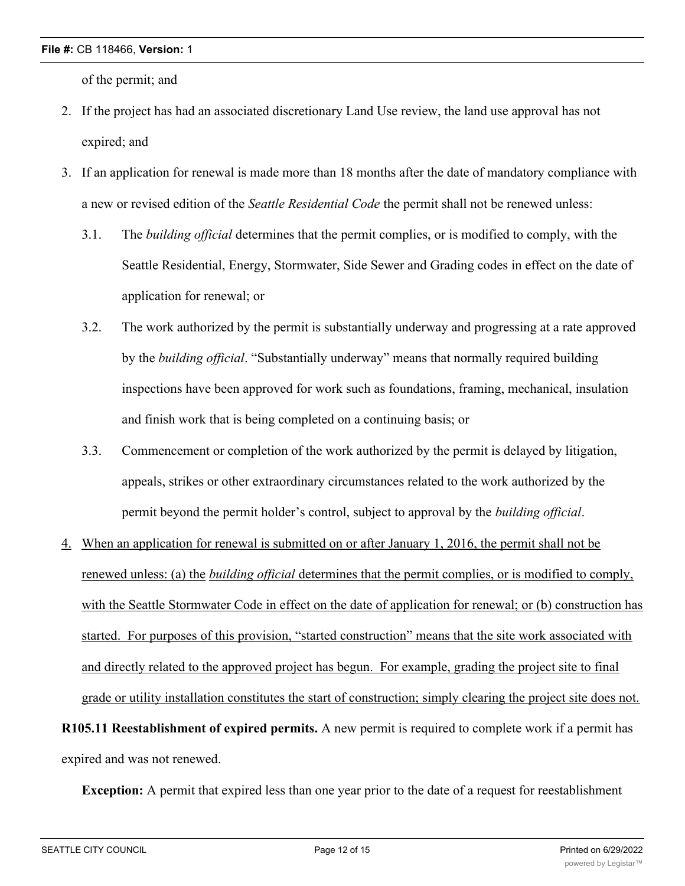of the permit; and

- 2. If the project has had an associated discretionary Land Use review, the land use approval has not expired; and
- 3. If an application for renewal is made more than 18 months after the date of mandatory compliance with a new or revised edition of the *Seattle Residential Code* the permit shall not be renewed unless:
	- 3.1. The *building official* determines that the permit complies, or is modified to comply, with the Seattle Residential, Energy, Stormwater, Side Sewer and Grading codes in effect on the date of application for renewal; or
	- 3.2. The work authorized by the permit is substantially underway and progressing at a rate approved by the *building official*. "Substantially underway" means that normally required building inspections have been approved for work such as foundations, framing, mechanical, insulation and finish work that is being completed on a continuing basis; or
	- 3.3. Commencement or completion of the work authorized by the permit is delayed by litigation, appeals, strikes or other extraordinary circumstances related to the work authorized by the permit beyond the permit holder's control, subject to approval by the *building official*.
- 4. When an application for renewal is submitted on or after January 1, 2016, the permit shall not be renewed unless: (a) the *building official* determines that the permit complies, or is modified to comply, with the Seattle Stormwater Code in effect on the date of application for renewal; or (b) construction has started. For purposes of this provision, "started construction" means that the site work associated with and directly related to the approved project has begun. For example, grading the project site to final grade or utility installation constitutes the start of construction; simply clearing the project site does not. **R105.11 Reestablishment of expired permits.** A new permit is required to complete work if a permit has

expired and was not renewed.

**Exception:** A permit that expired less than one year prior to the date of a request for reestablishment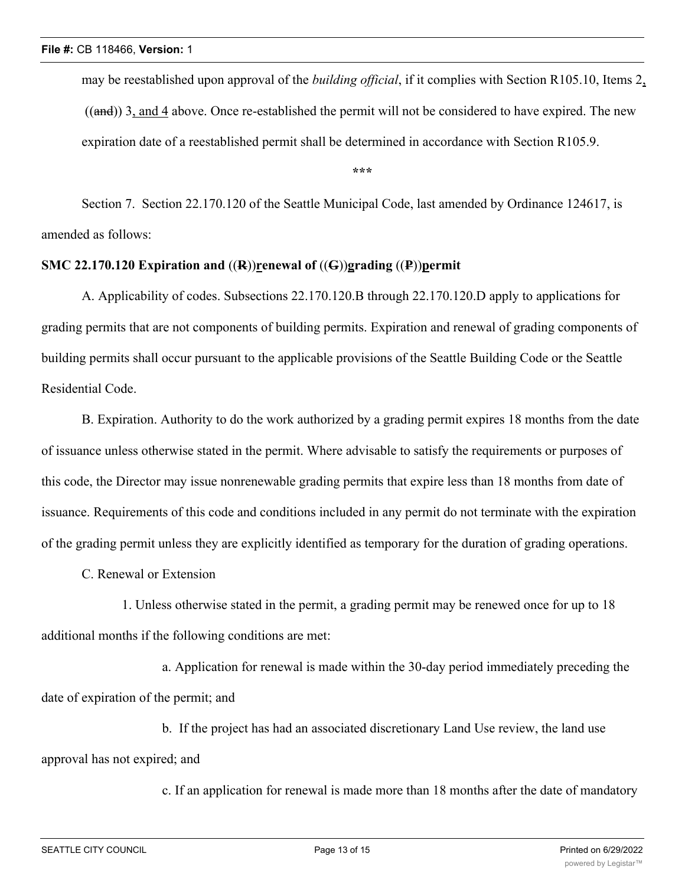may be reestablished upon approval of the *building official*, if it complies with Section R105.10, Items 2,  $((and))$  3, and 4 above. Once re-established the permit will not be considered to have expired. The new expiration date of a reestablished permit shall be determined in accordance with Section R105.9.

**\*\*\***

Section 7. Section 22.170.120 of the Seattle Municipal Code, last amended by Ordinance 124617, is amended as follows:

## **SMC 22.170.120 Expiration and** ((**R**))**renewal of** ((**G**))**grading** ((**P**))**permit**

A. Applicability of codes. Subsections 22.170.120.B through 22.170.120.D apply to applications for grading permits that are not components of building permits. Expiration and renewal of grading components of building permits shall occur pursuant to the applicable provisions of the Seattle Building Code or the Seattle Residential Code.

B. Expiration. Authority to do the work authorized by a grading permit expires 18 months from the date of issuance unless otherwise stated in the permit. Where advisable to satisfy the requirements or purposes of this code, the Director may issue nonrenewable grading permits that expire less than 18 months from date of issuance. Requirements of this code and conditions included in any permit do not terminate with the expiration of the grading permit unless they are explicitly identified as temporary for the duration of grading operations.

C. Renewal or Extension

1. Unless otherwise stated in the permit, a grading permit may be renewed once for up to 18 additional months if the following conditions are met:

a. Application for renewal is made within the 30-day period immediately preceding the date of expiration of the permit; and

b. If the project has had an associated discretionary Land Use review, the land use approval has not expired; and

c. If an application for renewal is made more than 18 months after the date of mandatory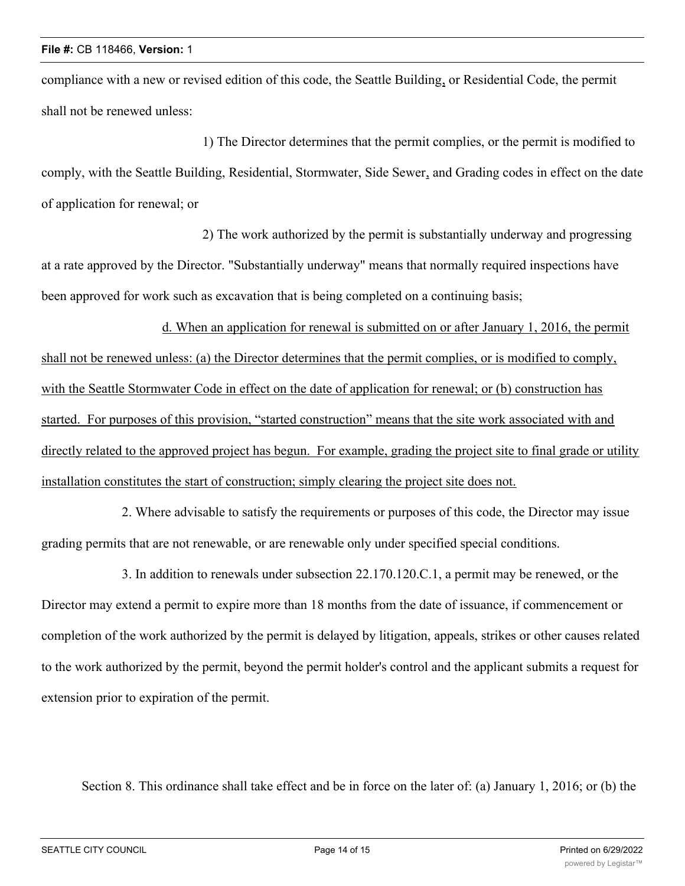compliance with a new or revised edition of this code, the Seattle Building, or Residential Code, the permit shall not be renewed unless:

1) The Director determines that the permit complies, or the permit is modified to comply, with the Seattle Building, Residential, Stormwater, Side Sewer, and Grading codes in effect on the date of application for renewal; or

2) The work authorized by the permit is substantially underway and progressing at a rate approved by the Director. "Substantially underway" means that normally required inspections have been approved for work such as excavation that is being completed on a continuing basis;

d. When an application for renewal is submitted on or after January 1, 2016, the permit shall not be renewed unless: (a) the Director determines that the permit complies, or is modified to comply, with the Seattle Stormwater Code in effect on the date of application for renewal; or (b) construction has started. For purposes of this provision, "started construction" means that the site work associated with and directly related to the approved project has begun. For example, grading the project site to final grade or utility installation constitutes the start of construction; simply clearing the project site does not.

2. Where advisable to satisfy the requirements or purposes of this code, the Director may issue grading permits that are not renewable, or are renewable only under specified special conditions.

3. In addition to renewals under subsection 22.170.120.C.1, a permit may be renewed, or the Director may extend a permit to expire more than 18 months from the date of issuance, if commencement or completion of the work authorized by the permit is delayed by litigation, appeals, strikes or other causes related to the work authorized by the permit, beyond the permit holder's control and the applicant submits a request for extension prior to expiration of the permit.

Section 8. This ordinance shall take effect and be in force on the later of: (a) January 1, 2016; or (b) the